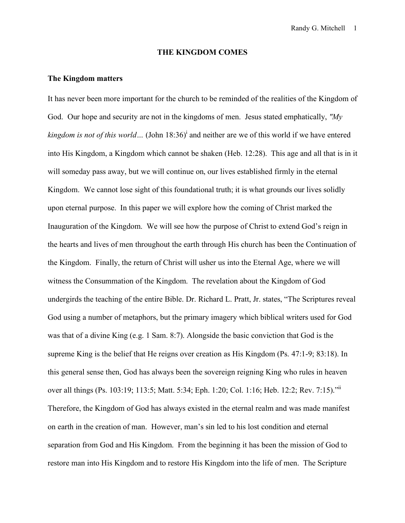# **THE KINGDOM COMES**

#### **The Kingdom matters**

It has never been more important for the church to be reminded of the realities of the Kingdom of God. Our hope and security are not in the kingdoms of men. Jesus stated emphatically, *"My kingdom is not of this world*... (John  $18:36$ <sup> $)$ </sup> and neither are we of this world if we have entered into His Kingdom, a Kingdom which cannot be shaken (Heb. 12:28). This age and all that is in it will someday pass away, but we will continue on, our lives established firmly in the eternal Kingdom. We cannot lose sight of this foundational truth; it is what grounds our lives solidly upon eternal purpose. In this paper we will explore how the coming of Christ marked the Inauguration of the Kingdom. We will see how the purpose of Christ to extend God's reign in the hearts and lives of men throughout the earth through His church has been the Continuation of the Kingdom. Finally, the return of Christ will usher us into the Eternal Age, where we will witness the Consummation of the Kingdom. The revelation about the Kingdom of God undergirds the teaching of the entire Bible. Dr. Richard L. Pratt, Jr. states, "The Scriptures reveal God using a number of metaphors, but the primary imagery which biblical writers used for God was that of a divine King (e.g. 1 Sam. 8:7). Alongside the basic conviction that God is the supreme King is the belief that He reigns over creation as His Kingdom (Ps. 47:1-9; 83:18). In this general sense then, God has always been the sovereign reigning King who rules in heaven over all things (Ps. 103:19; 113:5; Matt. 5:34; Eph. 1:20; Col. 1:16; Heb. 12:2; Rev. 7:15)."<sup>ii</sup> Therefore, the Kingdom of God has always existed in the eternal realm and was made manifest on earth in the creation of man. However, man's sin led to his lost condition and eternal separation from God and His Kingdom. From the beginning it has been the mission of God to restore man into His Kingdom and to restore His Kingdom into the life of men. The Scripture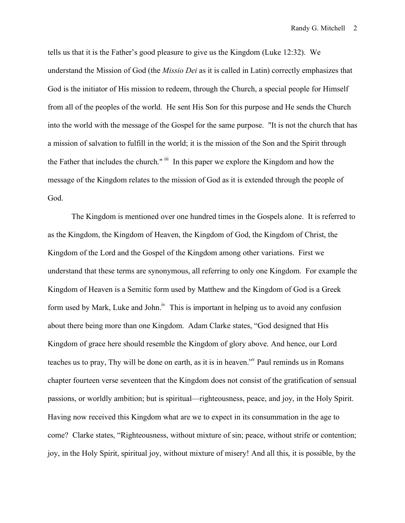tells us that it is the Father's good pleasure to give us the Kingdom (Luke 12:32). We understand the Mission of God (the *Missio Dei* as it is called in Latin) correctly emphasizes that God is the initiator of His mission to redeem, through the Church, a special people for Himself from all of the peoples of the world. He sent His Son for this purpose and He sends the Church into the world with the message of the Gospel for the same purpose. "It is not the church that has a mission of salvation to fulfill in the world; it is the mission of the Son and the Spirit through the Father that includes the church." iii In this paper we explore the Kingdom and how the message of the Kingdom relates to the mission of God as it is extended through the people of God.

The Kingdom is mentioned over one hundred times in the Gospels alone. It is referred to as the Kingdom, the Kingdom of Heaven, the Kingdom of God, the Kingdom of Christ, the Kingdom of the Lord and the Gospel of the Kingdom among other variations. First we understand that these terms are synonymous, all referring to only one Kingdom. For example the Kingdom of Heaven is a Semitic form used by Matthew and the Kingdom of God is a Greek form used by Mark, Luke and John.<sup>iv</sup> This is important in helping us to avoid any confusion about there being more than one Kingdom. Adam Clarke states, "God designed that His Kingdom of grace here should resemble the Kingdom of glory above. And hence, our Lord teaches us to pray, Thy will be done on earth, as it is in heaven."<sup>N</sup> Paul reminds us in Romans chapter fourteen verse seventeen that the Kingdom does not consist of the gratification of sensual passions, or worldly ambition; but is spiritual—righteousness, peace, and joy, in the Holy Spirit. Having now received this Kingdom what are we to expect in its consummation in the age to come? Clarke states, "Righteousness, without mixture of sin; peace, without strife or contention; joy, in the Holy Spirit, spiritual joy, without mixture of misery! And all this, it is possible, by the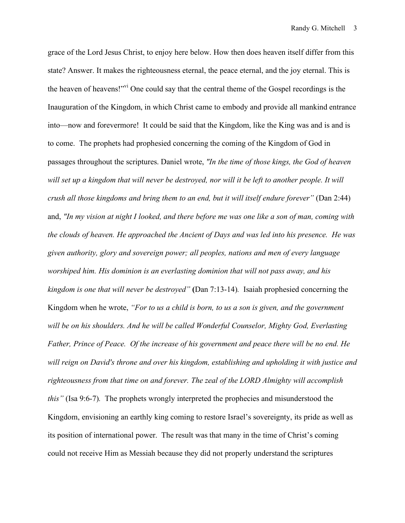grace of the Lord Jesus Christ, to enjoy here below. How then does heaven itself differ from this state? Answer. It makes the righteousness eternal, the peace eternal, and the joy eternal. This is the heaven of heavens!"<sup>vi</sup> One could say that the central theme of the Gospel recordings is the Inauguration of the Kingdom, in which Christ came to embody and provide all mankind entrance into—now and forevermore!It could be said that the Kingdom, like the King was and is and is to come. The prophets had prophesied concerning the coming of the Kingdom of God in passages throughout the scriptures. Daniel wrote, *"In the time of those kings, the God of heaven*  will set up a kingdom that will never be destroyed, nor will it be left to another people. It will *crush all those kingdoms and bring them to an end, but it will itself endure forever"* (Dan 2:44) and, *"In my vision at night I looked, and there before me was one like a son of man, coming with the clouds of heaven. He approached the Ancient of Days and was led into his presence. He was given authority, glory and sovereign power; all peoples, nations and men of every language worshiped him. His dominion is an everlasting dominion that will not pass away, and his kingdom is one that will never be destroyed"* **(**Dan 7:13-14)*.* Isaiah prophesied concerning the Kingdom when he wrote, *"For to us a child is born, to us a son is given, and the government will be on his shoulders. And he will be called Wonderful Counselor, Mighty God, Everlasting Father, Prince of Peace. Of the increase of his government and peace there will be no end. He will reign on David's throne and over his kingdom, establishing and upholding it with justice and righteousness from that time on and forever. The zeal of the LORD Almighty will accomplish this"* (Isa 9:6-7)*.*The prophets wrongly interpreted the prophecies and misunderstood the Kingdom, envisioning an earthly king coming to restore Israel's sovereignty, its pride as well as its position of international power. The result was that many in the time of Christ's coming could not receive Him as Messiah because they did not properly understand the scriptures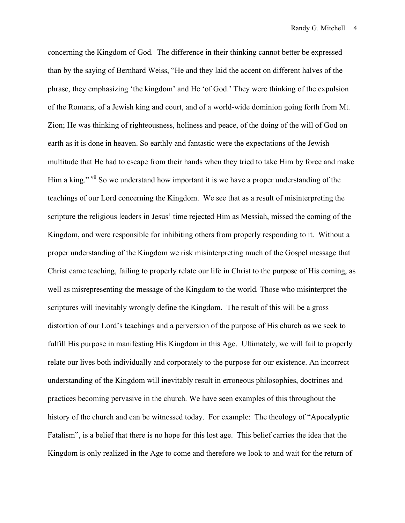concerning the Kingdom of God. The difference in their thinking cannot better be expressed than by the saying of Bernhard Weiss, "He and they laid the accent on different halves of the phrase, they emphasizing 'the kingdom' and He 'of God.' They were thinking of the expulsion of the Romans, of a Jewish king and court, and of a world-wide dominion going forth from Mt. Zion; He was thinking of righteousness, holiness and peace, of the doing of the will of God on earth as it is done in heaven. So earthly and fantastic were the expectations of the Jewish multitude that He had to escape from their hands when they tried to take Him by force and make Him a king." vii So we understand how important it is we have a proper understanding of the teachings of our Lord concerning the Kingdom. We see that as a result of misinterpreting the scripture the religious leaders in Jesus' time rejected Him as Messiah, missed the coming of the Kingdom, and were responsible for inhibiting others from properly responding to it. Without a proper understanding of the Kingdom we risk misinterpreting much of the Gospel message that Christ came teaching, failing to properly relate our life in Christ to the purpose of His coming, as well as misrepresenting the message of the Kingdom to the world. Those who misinterpret the scriptures will inevitably wrongly define the Kingdom. The result of this will be a gross distortion of our Lord's teachings and a perversion of the purpose of His church as we seek to fulfill His purpose in manifesting His Kingdom in this Age. Ultimately, we will fail to properly relate our lives both individually and corporately to the purpose for our existence. An incorrect understanding of the Kingdom will inevitably result in erroneous philosophies, doctrines and practices becoming pervasive in the church. We have seen examples of this throughout the history of the church and can be witnessed today. For example: The theology of "Apocalyptic Fatalism", is a belief that there is no hope for this lost age. This belief carries the idea that the Kingdom is only realized in the Age to come and therefore we look to and wait for the return of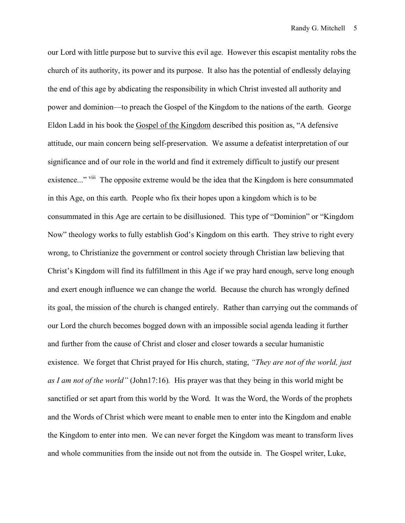our Lord with little purpose but to survive this evil age. However this escapist mentality robs the church of its authority, its power and its purpose. It also has the potential of endlessly delaying the end of this age by abdicating the responsibility in which Christ invested all authority and power and dominion—to preach the Gospel of the Kingdom to the nations of the earth. George Eldon Ladd in his book the Gospel of the Kingdom described this position as, "A defensive attitude, our main concern being self-preservation. We assume a defeatist interpretation of our significance and of our role in the world and find it extremely difficult to justify our present existence..." viii The opposite extreme would be the idea that the Kingdom is here consummated in this Age, on this earth. People who fix their hopes upon a kingdom which is to be consummated in this Age are certain to be disillusioned. This type of "Dominion" or "Kingdom Now" theology works to fully establish God's Kingdom on this earth. They strive to right every wrong, to Christianize the government or control society through Christian law believing that Christ's Kingdom will find its fulfillment in this Age if we pray hard enough, serve long enough and exert enough influence we can change the world. Because the church has wrongly defined its goal, the mission of the church is changed entirely. Rather than carrying out the commands of our Lord the church becomes bogged down with an impossible social agenda leading it further and further from the cause of Christ and closer and closer towards a secular humanistic existence. We forget that Christ prayed for His church, stating, *"They are not of the world, just as I am not of the world"* (John17:16)*.* His prayer was that they being in this world might be sanctified or set apart from this world by the Word. It was the Word, the Words of the prophets and the Words of Christ which were meant to enable men to enter into the Kingdom and enable the Kingdom to enter into men. We can never forget the Kingdom was meant to transform lives and whole communities from the inside out not from the outside in. The Gospel writer, Luke,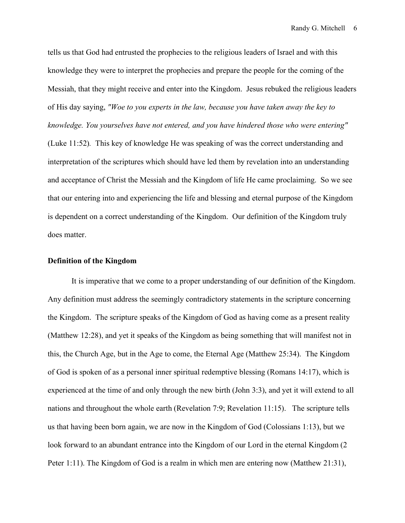tells us that God had entrusted the prophecies to the religious leaders of Israel and with this knowledge they were to interpret the prophecies and prepare the people for the coming of the Messiah, that they might receive and enter into the Kingdom. Jesus rebuked the religious leaders of His day saying, *"Woe to you experts in the law, because you have taken away the key to knowledge. You yourselves have not entered, and you have hindered those who were entering"*  (Luke 11:52)*.* This key of knowledge He was speaking of was the correct understanding and interpretation of the scriptures which should have led them by revelation into an understanding and acceptance of Christ the Messiah and the Kingdom of life He came proclaiming. So we see that our entering into and experiencing the life and blessing and eternal purpose of the Kingdom is dependent on a correct understanding of the Kingdom. Our definition of the Kingdom truly does matter.

## **Definition of the Kingdom**

It is imperative that we come to a proper understanding of our definition of the Kingdom. Any definition must address the seemingly contradictory statements in the scripture concerning the Kingdom. The scripture speaks of the Kingdom of God as having come as a present reality (Matthew 12:28), and yet it speaks of the Kingdom as being something that will manifest not in this, the Church Age, but in the Age to come, the Eternal Age (Matthew 25:34). The Kingdom of God is spoken of as a personal inner spiritual redemptive blessing (Romans 14:17), which is experienced at the time of and only through the new birth (John 3:3), and yet it will extend to all nations and throughout the whole earth (Revelation 7:9; Revelation 11:15). The scripture tells us that having been born again, we are now in the Kingdom of God (Colossians 1:13), but we look forward to an abundant entrance into the Kingdom of our Lord in the eternal Kingdom (2 Peter 1:11). The Kingdom of God is a realm in which men are entering now (Matthew 21:31),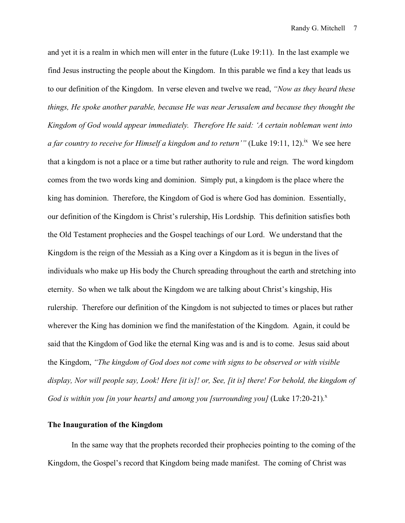and yet it is a realm in which men will enter in the future (Luke 19:11). In the last example we find Jesus instructing the people about the Kingdom. In this parable we find a key that leads us to our definition of the Kingdom. In verse eleven and twelve we read, *"Now as they heard these things, He spoke another parable, because He was near Jerusalem and because they thought the Kingdom of God would appear immediately. Therefore He said: 'A certain nobleman went into a far country to receive for Himself a kingdom and to return'"* (Luke 19:11, 12).<sup>ix</sup> We see here that a kingdom is not a place or a time but rather authority to rule and reign. The word kingdom comes from the two words king and dominion. Simply put, a kingdom is the place where the king has dominion. Therefore, the Kingdom of God is where God has dominion. Essentially, our definition of the Kingdom is Christ's rulership, His Lordship. This definition satisfies both the Old Testament prophecies and the Gospel teachings of our Lord. We understand that the Kingdom is the reign of the Messiah as a King over a Kingdom as it is begun in the lives of individuals who make up His body the Church spreading throughout the earth and stretching into eternity. So when we talk about the Kingdom we are talking about Christ's kingship, His rulership. Therefore our definition of the Kingdom is not subjected to times or places but rather wherever the King has dominion we find the manifestation of the Kingdom. Again, it could be said that the Kingdom of God like the eternal King was and is and is to come. Jesus said about the Kingdom, *"The kingdom of God does not come with signs to be observed or with visible display, Nor will people say, Look! Here [it is]! or, See, [it is] there! For behold, the kingdom of God is within you [in your hearts] and among you [surrounding you]* (Luke 17:20-21)*.* x

# **The Inauguration of the Kingdom**

In the same way that the prophets recorded their prophecies pointing to the coming of the Kingdom, the Gospel's record that Kingdom being made manifest. The coming of Christ was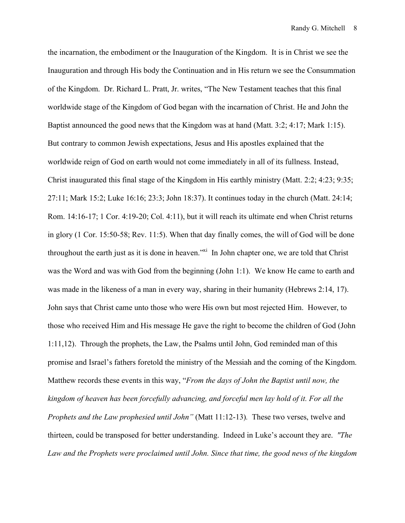the incarnation, the embodiment or the Inauguration of the Kingdom. It is in Christ we see the Inauguration and through His body the Continuation and in His return we see the Consummation of the Kingdom. Dr. Richard L. Pratt, Jr. writes, "The New Testament teaches that this final worldwide stage of the Kingdom of God began with the incarnation of Christ. He and John the Baptist announced the good news that the Kingdom was at hand (Matt. 3:2; 4:17; Mark 1:15). But contrary to common Jewish expectations, Jesus and His apostles explained that the worldwide reign of God on earth would not come immediately in all of its fullness. Instead, Christ inaugurated this final stage of the Kingdom in His earthly ministry (Matt. 2:2; 4:23; 9:35; 27:11; Mark 15:2; Luke 16:16; 23:3; John 18:37). It continues today in the church (Matt. 24:14; Rom. 14:16-17; 1 Cor. 4:19-20; Col. 4:11), but it will reach its ultimate end when Christ returns in glory (1 Cor. 15:50-58; Rev. 11:5). When that day finally comes, the will of God will be done throughout the earth just as it is done in heaven.<sup>"xi</sup> In John chapter one, we are told that Christ was the Word and was with God from the beginning (John 1:1). We know He came to earth and was made in the likeness of a man in every way, sharing in their humanity (Hebrews 2:14, 17). John says that Christ came unto those who were His own but most rejected Him. However, to those who received Him and His message He gave the right to become the children of God (John 1:11,12). Through the prophets, the Law, the Psalms until John, God reminded man of this promise and Israel's fathers foretold the ministry of the Messiah and the coming of the Kingdom. Matthew records these events in this way, "*From the days of John the Baptist until now, the kingdom of heaven has been forcefully advancing, and forceful men lay hold of it. For all the Prophets and the Law prophesied until John"* (Matt 11:12-13)*.* These two verses, twelve and thirteen, could be transposed for better understanding. Indeed in Luke's account they are. *"The Law and the Prophets were proclaimed until John. Since that time, the good news of the kingdom*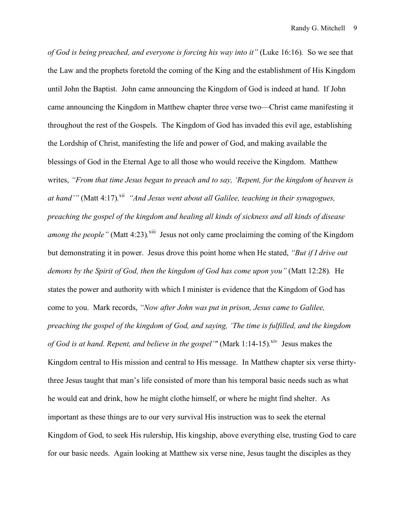*of God is being preached, and everyone is forcing his way into it"* (Luke 16:16)*.* So we see that the Law and the prophets foretold the coming of the King and the establishment of His Kingdom until John the Baptist. John came announcing the Kingdom of God is indeed at hand. If John came announcing the Kingdom in Matthew chapter three verse two—Christ came manifesting it throughout the rest of the Gospels. The Kingdom of God has invaded this evil age, establishing the Lordship of Christ, manifesting the life and power of God, and making available the blessings of God in the Eternal Age to all those who would receive the Kingdom. Matthew writes, *"From that time Jesus began to preach and to say, 'Repent, for the kingdom of heaven is*  at hand'" (Matt 4:17).<sup>xii</sup> "And Jesus went about all Galilee, teaching in their synagogues, *preaching the gospel of the kingdom and healing all kinds of sickness and all kinds of disease*  among the people" (Matt 4:23).<sup>xiii</sup> Jesus not only came proclaiming the coming of the Kingdom but demonstrating it in power. Jesus drove this point home when He stated, *"But if I drive out demons by the Spirit of God, then the kingdom of God has come upon you"* (Matt 12:28)*.* He states the power and authority with which I minister is evidence that the Kingdom of God has come to you. Mark records, *"Now after John was put in prison, Jesus came to Galilee, preaching the gospel of the kingdom of God, and saying, 'The time is fulfilled, and the kingdom*  of God is at hand. Repent, and believe in the gospel'" (Mark 1:14-15).<sup>xiv</sup> Jesus makes the Kingdom central to His mission and central to His message. In Matthew chapter six verse thirtythree Jesus taught that man's life consisted of more than his temporal basic needs such as what he would eat and drink, how he might clothe himself, or where he might find shelter. As important as these things are to our very survival His instruction was to seek the eternal Kingdom of God, to seek His rulership, His kingship, above everything else, trusting God to care for our basic needs. Again looking at Matthew six verse nine, Jesus taught the disciples as they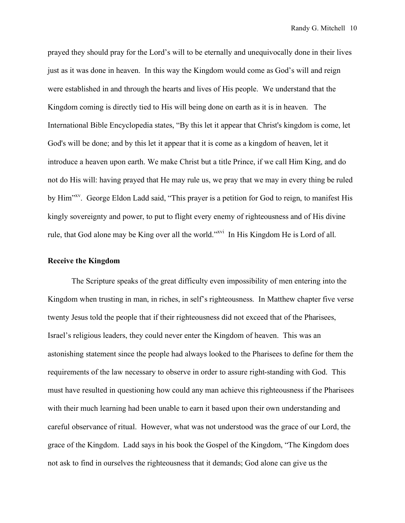prayed they should pray for the Lord's will to be eternally and unequivocally done in their lives just as it was done in heaven. In this way the Kingdom would come as God's will and reign were established in and through the hearts and lives of His people. We understand that the Kingdom coming is directly tied to His will being done on earth as it is in heaven. The International Bible Encyclopedia states, "By this let it appear that Christ's kingdom is come, let God's will be done; and by this let it appear that it is come as a kingdom of heaven, let it introduce a heaven upon earth. We make Christ but a title Prince, if we call Him King, and do not do His will: having prayed that He may rule us, we pray that we may in every thing be ruled by Him<sup>"xv</sup>. George Eldon Ladd said, "This prayer is a petition for God to reign, to manifest His kingly sovereignty and power, to put to flight every enemy of righteousness and of His divine rule, that God alone may be King over all the world."<sup>xvi</sup> In His Kingdom He is Lord of all.

## **Receive the Kingdom**

The Scripture speaks of the great difficulty even impossibility of men entering into the Kingdom when trusting in man, in riches, in self's righteousness. In Matthew chapter five verse twenty Jesus told the people that if their righteousness did not exceed that of the Pharisees, Israel's religious leaders, they could never enter the Kingdom of heaven. This was an astonishing statement since the people had always looked to the Pharisees to define for them the requirements of the law necessary to observe in order to assure right-standing with God. This must have resulted in questioning how could any man achieve this righteousness if the Pharisees with their much learning had been unable to earn it based upon their own understanding and careful observance of ritual. However, what was not understood was the grace of our Lord, the grace of the Kingdom. Ladd says in his book the Gospel of the Kingdom, "The Kingdom does not ask to find in ourselves the righteousness that it demands; God alone can give us the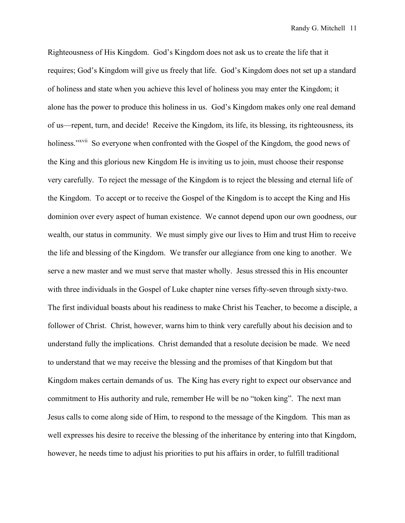Righteousness of His Kingdom. God's Kingdom does not ask us to create the life that it requires; God's Kingdom will give us freely that life. God's Kingdom does not set up a standard of holiness and state when you achieve this level of holiness you may enter the Kingdom; it alone has the power to produce this holiness in us. God's Kingdom makes only one real demand of us—repent, turn, and decide! Receive the Kingdom, its life, its blessing, its righteousness, its holiness."<sup>xvii</sup> So everyone when confronted with the Gospel of the Kingdom, the good news of the King and this glorious new Kingdom He is inviting us to join, must choose their response very carefully. To reject the message of the Kingdom is to reject the blessing and eternal life of the Kingdom. To accept or to receive the Gospel of the Kingdom is to accept the King and His dominion over every aspect of human existence. We cannot depend upon our own goodness, our wealth, our status in community. We must simply give our lives to Him and trust Him to receive the life and blessing of the Kingdom. We transfer our allegiance from one king to another. We serve a new master and we must serve that master wholly. Jesus stressed this in His encounter with three individuals in the Gospel of Luke chapter nine verses fifty-seven through sixty-two. The first individual boasts about his readiness to make Christ his Teacher, to become a disciple, a follower of Christ. Christ, however, warns him to think very carefully about his decision and to understand fully the implications. Christ demanded that a resolute decision be made. We need to understand that we may receive the blessing and the promises of that Kingdom but that Kingdom makes certain demands of us. The King has every right to expect our observance and commitment to His authority and rule, remember He will be no "token king". The next man Jesus calls to come along side of Him, to respond to the message of the Kingdom. This man as well expresses his desire to receive the blessing of the inheritance by entering into that Kingdom, however, he needs time to adjust his priorities to put his affairs in order, to fulfill traditional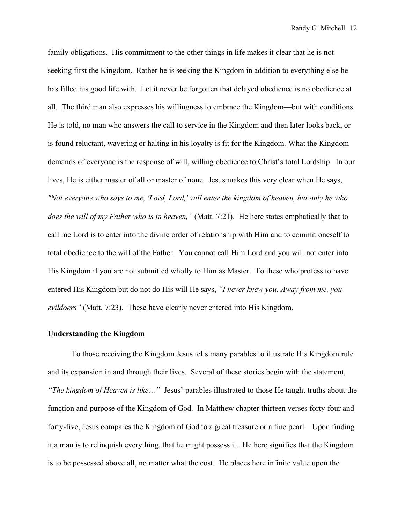family obligations. His commitment to the other things in life makes it clear that he is not seeking first the Kingdom. Rather he is seeking the Kingdom in addition to everything else he has filled his good life with. Let it never be forgotten that delayed obedience is no obedience at all. The third man also expresses his willingness to embrace the Kingdom—but with conditions. He is told, no man who answers the call to service in the Kingdom and then later looks back, or is found reluctant, wavering or halting in his loyalty is fit for the Kingdom. What the Kingdom demands of everyone is the response of will, willing obedience to Christ's total Lordship. In our lives, He is either master of all or master of none. Jesus makes this very clear when He says, *"Not everyone who says to me, 'Lord, Lord,' will enter the kingdom of heaven, but only he who does the will of my Father who is in heaven,"* (Matt. 7:21). He here states emphatically that to call me Lord is to enter into the divine order of relationship with Him and to commit oneself to total obedience to the will of the Father. You cannot call Him Lord and you will not enter into His Kingdom if you are not submitted wholly to Him as Master. To these who profess to have entered His Kingdom but do not do His will He says, *"I never knew you. Away from me, you evildoers"* (Matt. 7:23)*.* These have clearly never entered into His Kingdom.

## **Understanding the Kingdom**

To those receiving the Kingdom Jesus tells many parables to illustrate His Kingdom rule and its expansion in and through their lives. Several of these stories begin with the statement, *"The kingdom of Heaven is like…"* Jesus' parables illustrated to those He taught truths about the function and purpose of the Kingdom of God. In Matthew chapter thirteen verses forty-four and forty-five, Jesus compares the Kingdom of God to a great treasure or a fine pearl. Upon finding it a man is to relinquish everything, that he might possess it. He here signifies that the Kingdom is to be possessed above all, no matter what the cost. He places here infinite value upon the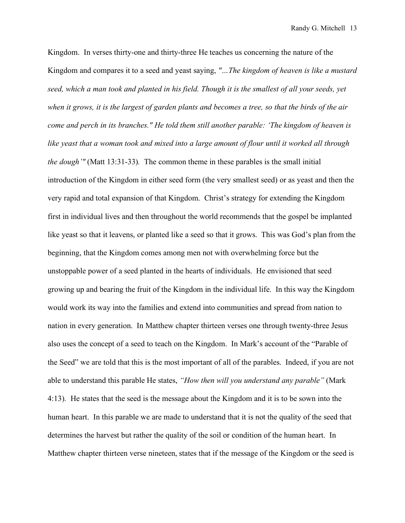Kingdom. In verses thirty-one and thirty-three He teaches us concerning the nature of the Kingdom and compares it to a seed and yeast saying, *"…The kingdom of heaven is like a mustard seed, which a man took and planted in his field. Though it is the smallest of all your seeds, yet when it grows, it is the largest of garden plants and becomes a tree, so that the birds of the air come and perch in its branches." He told them still another parable: 'The kingdom of heaven is like yeast that a woman took and mixed into a large amount of flour until it worked all through the dough'"* (Matt 13:31-33)*.* The common theme in these parables is the small initial introduction of the Kingdom in either seed form (the very smallest seed) or as yeast and then the very rapid and total expansion of that Kingdom. Christ's strategy for extending the Kingdom first in individual lives and then throughout the world recommends that the gospel be implanted like yeast so that it leavens, or planted like a seed so that it grows. This was God's plan from the beginning, that the Kingdom comes among men not with overwhelming force but the unstoppable power of a seed planted in the hearts of individuals. He envisioned that seed growing up and bearing the fruit of the Kingdom in the individual life. In this way the Kingdom would work its way into the families and extend into communities and spread from nation to nation in every generation. In Matthew chapter thirteen verses one through twenty-three Jesus also uses the concept of a seed to teach on the Kingdom. In Mark's account of the "Parable of the Seed" we are told that this is the most important of all of the parables. Indeed, if you are not able to understand this parable He states, *"How then will you understand any parable"* (Mark 4:13)*.* He states that the seed is the message about the Kingdom and it is to be sown into the human heart. In this parable we are made to understand that it is not the quality of the seed that determines the harvest but rather the quality of the soil or condition of the human heart. In Matthew chapter thirteen verse nineteen, states that if the message of the Kingdom or the seed is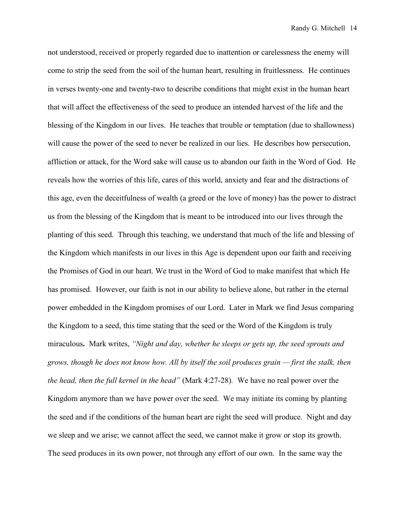not understood, received or properly regarded due to inattention or carelessness the enemy will come to strip the seed from the soil of the human heart, resulting in fruitlessness. He continues in verses twenty-one and twenty-two to describe conditions that might exist in the human heart that will affect the effectiveness of the seed to produce an intended harvest of the life and the blessing of the Kingdom in our lives. He teaches that trouble or temptation (due to shallowness) will cause the power of the seed to never be realized in our lies. He describes how persecution, affliction or attack, for the Word sake will cause us to abandon our faith in the Word of God. He reveals how the worries of this life, cares of this world, anxiety and fear and the distractions of this age, even the deceitfulness of wealth (a greed or the love of money) has the power to distract us from the blessing of the Kingdom that is meant to be introduced into our lives through the planting of this seed.Through this teaching, we understand that much of the life and blessing of the Kingdom which manifests in our lives in this Age is dependent upon our faith and receiving the Promises of God in our heart. We trust in the Word of God to make manifest that which He has promised. However, our faith is not in our ability to believe alone, but rather in the eternal power embedded in the Kingdom promises of our Lord. Later in Mark we find Jesus comparing the Kingdom to a seed, this time stating that the seed or the Word of the Kingdom is truly miraculous**.**Mark writes, *"Night and day, whether he sleeps or gets up, the seed sprouts and grows, though he does not know how. All by itself the soil produces grain — first the stalk, then the head, then the full kernel in the head"* (Mark 4:27-28)*.* We have no real power over the Kingdom anymore than we have power over the seed. We may initiate its coming by planting the seed and if the conditions of the human heart are right the seed will produce. Night and day we sleep and we arise; we cannot affect the seed, we cannot make it grow or stop its growth. The seed produces in its own power, not through any effort of our own. In the same way the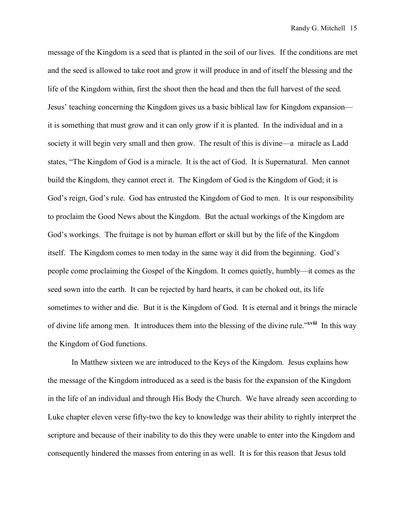message of the Kingdom is a seed that is planted in the soil of our lives. If the conditions are met and the seed is allowed to take root and grow it will produce in and of itself the blessing and the life of the Kingdom within, first the shoot then the head and then the full harvest of the seed. Jesus' teaching concerning the Kingdom gives us a basic biblical law for Kingdom expansion it is something that must grow and it can only grow if it is planted. In the individual and in a society it will begin very small and then grow. The result of this is divine—a miracle as Ladd states, "The Kingdom of God is a miracle. It is the act of God. It is Supernatural. Men cannot build the Kingdom, they cannot erect it. The Kingdom of God is the Kingdom of God; it is God's reign, God's rule. God has entrusted the Kingdom of God to men. It is our responsibility to proclaim the Good News about the Kingdom. But the actual workings of the Kingdom are God's workings. The fruitage is not by human effort or skill but by the life of the Kingdom itself. The Kingdom comes to men today in the same way it did from the beginning. God's people come proclaiming the Gospel of the Kingdom. It comes quietly, humbly—it comes as the seed sown into the earth. It can be rejected by hard hearts, it can be choked out, its life sometimes to wither and die. But it is the Kingdom of God. It is eternal and it brings the miracle of divine life among men. It introduces them into the blessing of the divine rule."**xviii** In this way the Kingdom of God functions.

In Matthew sixteen we are introduced to the Keys of the Kingdom. Jesus explains how the message of the Kingdom introduced as a seed is the basis for the expansion of the Kingdom in the life of an individual and through His Body the Church. We have already seen according to Luke chapter eleven verse fifty-two the key to knowledge was their ability to rightly interpret the scripture and because of their inability to do this they were unable to enter into the Kingdom and consequently hindered the masses from entering in as well. It is for this reason that Jesus told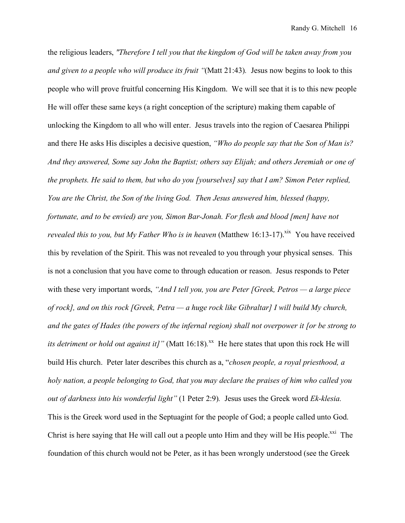the religious leaders, *"Therefore I tell you that the kingdom of God will be taken away from you and given to a people who will produce its fruit "*(Matt 21:43)*.* Jesus now begins to look to this people who will prove fruitful concerning His Kingdom. We will see that it is to this new people He will offer these same keys (a right conception of the scripture) making them capable of unlocking the Kingdom to all who will enter. Jesus travels into the region of Caesarea Philippi and there He asks His disciples a decisive question, *"Who do people say that the Son of Man is? And they answered, Some say John the Baptist; others say Elijah; and others Jeremiah or one of the prophets. He said to them, but who do you [yourselves] say that I am? Simon Peter replied, You are the Christ, the Son of the living God. Then Jesus answered him, blessed (happy, fortunate, and to be envied) are you, Simon Bar-Jonah. For flesh and blood [men] have not*  revealed this to you, but My Father Who is in heaven (Matthew 16:13-17).<sup>xix</sup> You have received this by revelation of the Spirit. This was not revealed to you through your physical senses. This is not a conclusion that you have come to through education or reason. Jesus responds to Peter with these very important words, *"And I tell you, you are Peter [Greek, Petros — a large piece of rock], and on this rock [Greek, Petra — a huge rock like Gibraltar] I will build My church, and the gates of Hades (the powers of the infernal region) shall not overpower it [or be strong to its detriment or hold out against it]*" (Matt 16:18).<sup>xx</sup> He here states that upon this rock He will build His church. Peter later describes this church as a, "*chosen people, a royal priesthood, a holy nation, a people belonging to God, that you may declare the praises of him who called you out of darkness into his wonderful light"* (1 Peter 2:9)*.* Jesus uses the Greek word *Ek-klesia.*  This is the Greek word used in the Septuagint for the people of God; a people called unto God. Christ is here saying that He will call out a people unto Him and they will be His people. $^{xxi}$  The foundation of this church would not be Peter, as it has been wrongly understood (see the Greek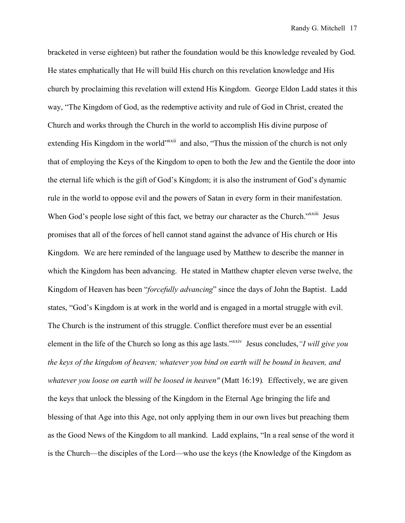bracketed in verse eighteen) but rather the foundation would be this knowledge revealed by God. He states emphatically that He will build His church on this revelation knowledge and His church by proclaiming this revelation will extend His Kingdom. George Eldon Ladd states it this way, "The Kingdom of God, as the redemptive activity and rule of God in Christ, created the Church and works through the Church in the world to accomplish His divine purpose of extending His Kingdom in the world<sup>"xxii</sup> and also, "Thus the mission of the church is not only that of employing the Keys of the Kingdom to open to both the Jew and the Gentile the door into the eternal life which is the gift of God's Kingdom; it is also the instrument of God's dynamic rule in the world to oppose evil and the powers of Satan in every form in their manifestation. When God's people lose sight of this fact, we betray our character as the Church."<sup>xxiii</sup> Jesus promises that all of the forces of hell cannot stand against the advance of His church or His Kingdom. We are here reminded of the language used by Matthew to describe the manner in which the Kingdom has been advancing. He stated in Matthew chapter eleven verse twelve, the Kingdom of Heaven has been "*forcefully advancing*" since the days of John the Baptist. Ladd states, "God's Kingdom is at work in the world and is engaged in a mortal struggle with evil. The Church is the instrument of this struggle. Conflict therefore must ever be an essential element in the life of the Church so long as this age lasts.<sup>"xxiv</sup> Jesus concludes, "I will give you *the keys of the kingdom of heaven; whatever you bind on earth will be bound in heaven, and whatever you loose on earth will be loosed in heaven"* (Matt 16:19)*.* Effectively, we are given the keys that unlock the blessing of the Kingdom in the Eternal Age bringing the life and blessing of that Age into this Age, not only applying them in our own lives but preaching them as the Good News of the Kingdom to all mankind. Ladd explains, "In a real sense of the word it is the Church—the disciples of the Lord—who use the keys (the Knowledge of the Kingdom as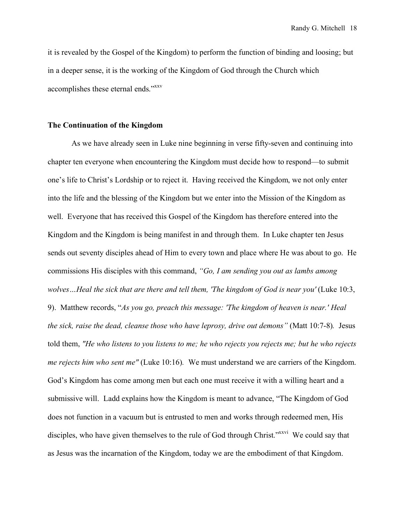it is revealed by the Gospel of the Kingdom) to perform the function of binding and loosing; but in a deeper sense, it is the working of the Kingdom of God through the Church which accomplishes these eternal ends."<sup>xxv</sup>

# **The Continuation of the Kingdom**

As we have already seen in Luke nine beginning in verse fifty-seven and continuing into chapter ten everyone when encountering the Kingdom must decide how to respond—to submit one's life to Christ's Lordship or to reject it. Having received the Kingdom, we not only enter into the life and the blessing of the Kingdom but we enter into the Mission of the Kingdom as well. Everyone that has received this Gospel of the Kingdom has therefore entered into the Kingdom and the Kingdom is being manifest in and through them. In Luke chapter ten Jesus sends out seventy disciples ahead of Him to every town and place where He was about to go. He commissions His disciples with this command, *"Go, I am sending you out as lambs among wolves…Heal the sick that are there and tell them, 'The kingdom of God is near you'* (Luke 10:3, 9). Matthew records, "*As you go, preach this message: 'The kingdom of heaven is near.' Heal the sick, raise the dead, cleanse those who have leprosy, drive out demons"* (Matt 10:7-8)*.* Jesus told them, *"He who listens to you listens to me; he who rejects you rejects me; but he who rejects me rejects him who sent me"* (Luke 10:16)*.* We must understand we are carriers of the Kingdom. God's Kingdom has come among men but each one must receive it with a willing heart and a submissive will. Ladd explains how the Kingdom is meant to advance, "The Kingdom of God does not function in a vacuum but is entrusted to men and works through redeemed men, His disciples, who have given themselves to the rule of God through Christ.<sup>"xxvi</sup> We could say that as Jesus was the incarnation of the Kingdom, today we are the embodiment of that Kingdom.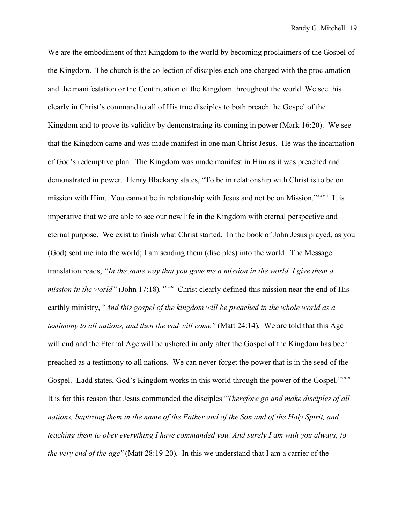We are the embodiment of that Kingdom to the world by becoming proclaimers of the Gospel of the Kingdom. The church is the collection of disciples each one charged with the proclamation and the manifestation or the Continuation of the Kingdom throughout the world. We see this clearly in Christ's command to all of His true disciples to both preach the Gospel of the Kingdom and to prove its validity by demonstrating its coming in power (Mark 16:20). We see that the Kingdom came and was made manifest in one man Christ Jesus. He was the incarnation of God's redemptive plan. The Kingdom was made manifest in Him as it was preached and demonstrated in power. Henry Blackaby states, "To be in relationship with Christ is to be on mission with Him. You cannot be in relationship with Jesus and not be on Mission.<sup>"xxvii</sup> It is imperative that we are able to see our new life in the Kingdom with eternal perspective and eternal purpose. We exist to finish what Christ started. In the book of John Jesus prayed, as you (God) sent me into the world; I am sending them (disciples) into the world. The Message translation reads, *"In the same way that you gave me a mission in the world, I give them a mission in the world*" (John 17:18). *xxviii* Christ clearly defined this mission near the end of His earthly ministry, "*And this gospel of the kingdom will be preached in the whole world as a testimony to all nations, and then the end will come"* (Matt 24:14)*.* We are told that this Age will end and the Eternal Age will be ushered in only after the Gospel of the Kingdom has been preached as a testimony to all nations. We can never forget the power that is in the seed of the Gospel. Ladd states, God's Kingdom works in this world through the power of the Gospel."<sup>XXIX</sup> It is for this reason that Jesus commanded the disciples "*Therefore go and make disciples of all nations, baptizing them in the name of the Father and of the Son and of the Holy Spirit, and teaching them to obey everything I have commanded you. And surely I am with you always, to the very end of the age"* (Matt 28:19-20)*.*In this we understand that I am a carrier of the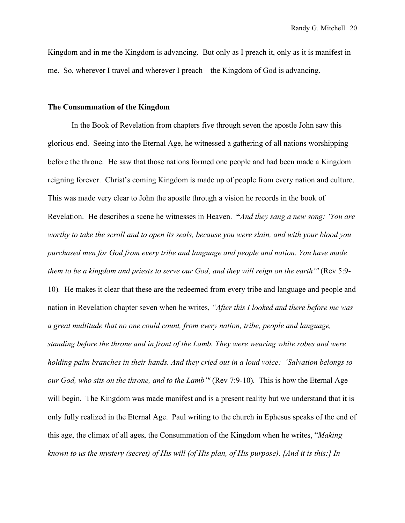Kingdom and in me the Kingdom is advancing. But only as I preach it, only as it is manifest in me. So, wherever I travel and wherever I preach—the Kingdom of God is advancing.

# **The Consummation of the Kingdom**

In the Book of Revelation from chapters five through seven the apostle John saw this glorious end. Seeing into the Eternal Age, he witnessed a gathering of all nations worshipping before the throne. He saw that those nations formed one people and had been made a Kingdom reigning forever.Christ's coming Kingdom is made up of people from every nation and culture. This was made very clear to John the apostle through a vision he records in the book of Revelation. He describes a scene he witnesses in Heaven. **"***And they sang a new song: 'You are worthy to take the scroll and to open its seals, because you were slain, and with your blood you purchased men for God from every tribe and language and people and nation. You have made them to be a kingdom and priests to serve our God, and they will reign on the earth'"* (Rev 5:9- 10)*.*He makes it clear that these are the redeemed from every tribe and language and people and nation in Revelation chapter seven when he writes, *"After this I looked and there before me was a great multitude that no one could count, from every nation, tribe, people and language, standing before the throne and in front of the Lamb. They were wearing white robes and were holding palm branches in their hands. And they cried out in a loud voice:**'Salvation belongs to our God, who sits on the throne, and to the Lamb'"* (Rev 7:9-10). This is how the Eternal Age will begin. The Kingdom was made manifest and is a present reality but we understand that it is only fully realized in the Eternal Age. Paul writing to the church in Ephesus speaks of the end of this age, the climax of all ages, the Consummation of the Kingdom when he writes, "*Making known to us the mystery (secret) of His will (of His plan, of His purpose). [And it is this:] In*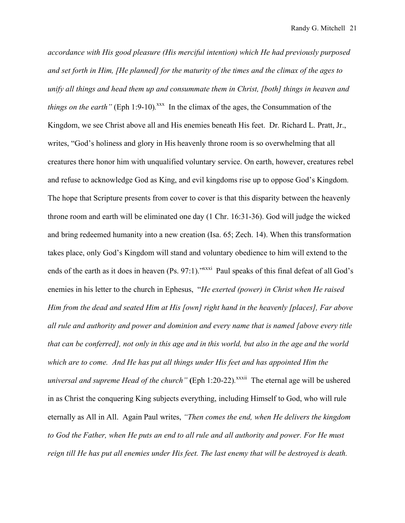*accordance with His good pleasure (His merciful intention) which He had previously purposed and set forth in Him, [He planned] for the maturity of the times and the climax of the ages to unify all things and head them up and consummate them in Christ, [both] things in heaven and things on the earth*" (Eph 1:9-10).<sup> $xxx$ </sup> In the climax of the ages, the Consummation of the Kingdom, we see Christ above all and His enemies beneath His feet. Dr. Richard L. Pratt, Jr., writes, "God's holiness and glory in His heavenly throne room is so overwhelming that all creatures there honor him with unqualified voluntary service. On earth, however, creatures rebel and refuse to acknowledge God as King, and evil kingdoms rise up to oppose God's Kingdom. The hope that Scripture presents from cover to cover is that this disparity between the heavenly throne room and earth will be eliminated one day (1 Chr. 16:31-36). God will judge the wicked and bring redeemed humanity into a new creation (Isa. 65; Zech. 14). When this transformation takes place, only God's Kingdom will stand and voluntary obedience to him will extend to the ends of the earth as it does in heaven (Ps. 97:1).<sup>xxxxi</sup> Paul speaks of this final defeat of all God's enemies in his letter to the church in Ephesus, "*He exerted (power) in Christ when He raised Him from the dead and seated Him at His [own] right hand in the heavenly [places], Far above all rule and authority and power and dominion and every name that is named [above every title that can be conferred], not only in this age and in this world, but also in the age and the world which are to come. And He has put all things under His feet and has appointed Him the universal and supreme Head of the church*" (Eph 1:20-22).<sup>xxxii</sup> The eternal age will be ushered in as Christ the conquering King subjects everything, including Himself to God, who will rule eternally as All in All.Again Paul writes, *"Then comes the end, when He delivers the kingdom to God the Father, when He puts an end to all rule and all authority and power. For He must reign till He has put all enemies under His feet. The last enemy that will be destroyed is death.*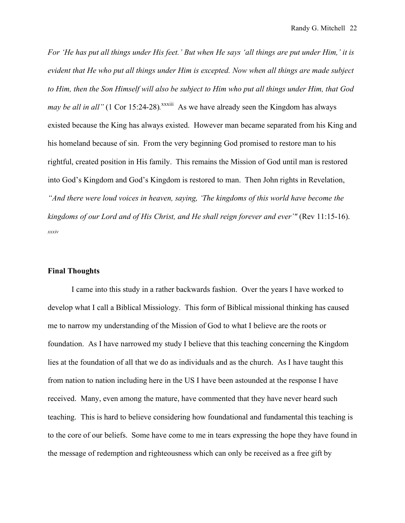*For 'He has put all things under His feet.' But when He says 'all things are put under Him,' it is evident that He who put all things under Him is excepted. Now when all things are made subject to Him, then the Son Himself will also be subject to Him who put all things under Him, that God may be all in all*" (1 Cor 15:24-28).<sup>xxxiii</sup> As we have already seen the Kingdom has always existed because the King has always existed. However man became separated from his King and his homeland because of sin. From the very beginning God promised to restore man to his rightful, created position in His family. This remains the Mission of God until man is restored into God's Kingdom and God's Kingdom is restored to man. Then John rights in Revelation, *"And there were loud voices in heaven, saying, 'The kingdoms of this world have become the kingdoms of our Lord and of His Christ, and He shall reign forever and ever'"* (Rev 11:15-16). *xxxiv*

#### **Final Thoughts**

I came into this study in a rather backwards fashion. Over the years I have worked to develop what I call a Biblical Missiology. This form of Biblical missional thinking has caused me to narrow my understanding of the Mission of God to what I believe are the roots or foundation. As I have narrowed my study I believe that this teaching concerning the Kingdom lies at the foundation of all that we do as individuals and as the church. As I have taught this from nation to nation including here in the US I have been astounded at the response I have received. Many, even among the mature, have commented that they have never heard such teaching. This is hard to believe considering how foundational and fundamental this teaching is to the core of our beliefs. Some have come to me in tears expressing the hope they have found in the message of redemption and righteousness which can only be received as a free gift by